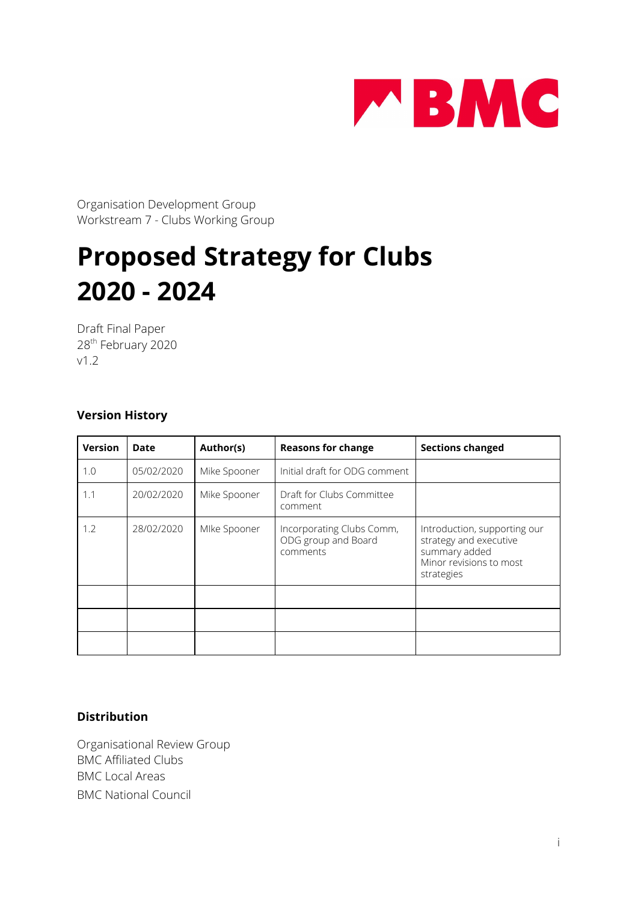

Organisation Development Group Workstream 7 - Clubs Working Group

# **Proposed Strategy for Clubs 2020 - 2024**

Draft Final Paper 28 th February 2020 v1.2

#### **Version History**

| <b>Version</b> | Date       | Author(s)    | <b>Reasons for change</b>                                    | <b>Sections changed</b>                                                                                          |
|----------------|------------|--------------|--------------------------------------------------------------|------------------------------------------------------------------------------------------------------------------|
| 1.0            | 05/02/2020 | Mike Spooner | Initial draft for ODG comment                                |                                                                                                                  |
| 1.1            | 20/02/2020 | Mike Spooner | Draft for Clubs Committee<br>comment                         |                                                                                                                  |
| 1.2            | 28/02/2020 | Mlke Spooner | Incorporating Clubs Comm,<br>ODG group and Board<br>comments | Introduction, supporting our<br>strategy and executive<br>summary added<br>Minor revisions to most<br>strategies |
|                |            |              |                                                              |                                                                                                                  |
|                |            |              |                                                              |                                                                                                                  |
|                |            |              |                                                              |                                                                                                                  |

#### **Distribution**

Organisational Review Group BMC Affiliated Clubs BMC Local Areas BMC National Council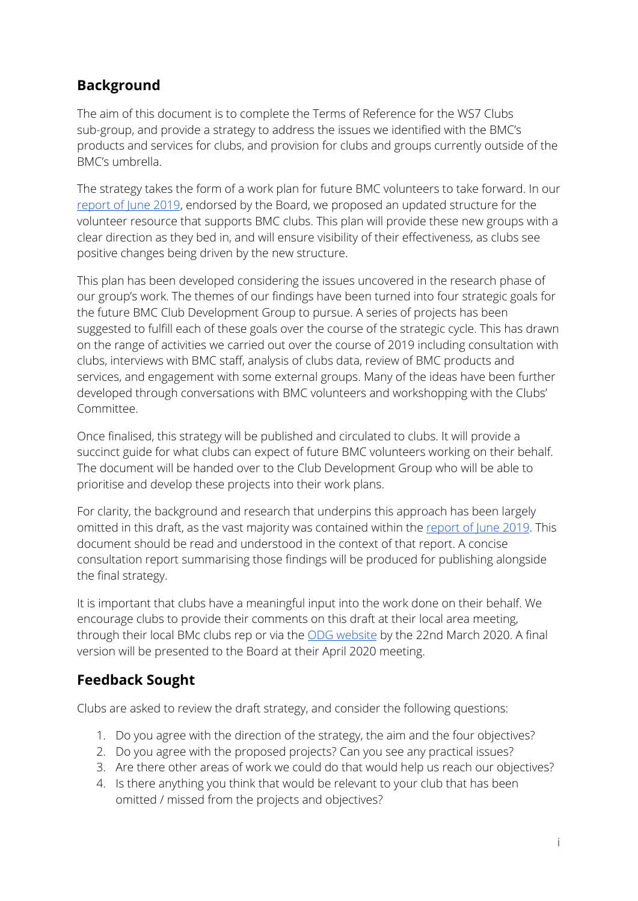# **Background**

The aim of this document is to complete the Terms of Reference for the WS7 Clubs sub-group, and provide a strategy to address the issues we identified with the BMC's products and services for clubs, and provision for clubs and groups currently outside of the BMC's umbrella.

The strategy takes the form of a work plan for future BMC volunteers to take forward. In our [report](https://odg.thebmc.co.uk/hc/en-gb/articles/360034696953-Partnerships-Interim-Report-June-2019) of June 2019, endorsed by the Board, we proposed an updated structure for the volunteer resource that supports BMC clubs. This plan will provide these new groups with a clear direction as they bed in, and will ensure visibility of their effectiveness, as clubs see positive changes being driven by the new structure.

This plan has been developed considering the issues uncovered in the research phase of our group's work. The themes of our findings have been turned into four strategic goals for the future BMC Club Development Group to pursue. A series of projects has been suggested to fulfill each of these goals over the course of the strategic cycle. This has drawn on the range of activities we carried out over the course of 2019 including consultation with clubs, interviews with BMC staff, analysis of clubs data, review of BMC products and services, and engagement with some external groups. Many of the ideas have been further developed through conversations with BMC volunteers and workshopping with the Clubs' Committee.

Once finalised, this strategy will be published and circulated to clubs. It will provide a succinct guide for what clubs can expect of future BMC volunteers working on their behalf. The document will be handed over to the Club Development Group who will be able to prioritise and develop these projects into their work plans.

For clarity, the background and research that underpins this approach has been largely omitted in this draft, as the vast majority was contained within the [report](https://odg.thebmc.co.uk/hc/en-gb/articles/360034696953-Partnerships-Interim-Report-June-2019) of June 2019. This document should be read and understood in the context of that report. A concise consultation report summarising those findings will be produced for publishing alongside the final strategy.

It is important that clubs have a meaningful input into the work done on their behalf. We encourage clubs to provide their comments on this draft at their local area meeting, through their local BMc clubs rep or via the ODG [website](https://odg.thebmc.co.uk/hc/en-gb/requests/new) by the 22nd March 2020. A final version will be presented to the Board at their April 2020 meeting.

# **Feedback Sought**

Clubs are asked to review the draft strategy, and consider the following questions:

- 1. Do you agree with the direction of the strategy, the aim and the four objectives?
- 2. Do you agree with the proposed projects? Can you see any practical issues?
- 3. Are there other areas of work we could do that would help us reach our objectives?
- 4. Is there anything you think that would be relevant to your club that has been omitted / missed from the projects and objectives?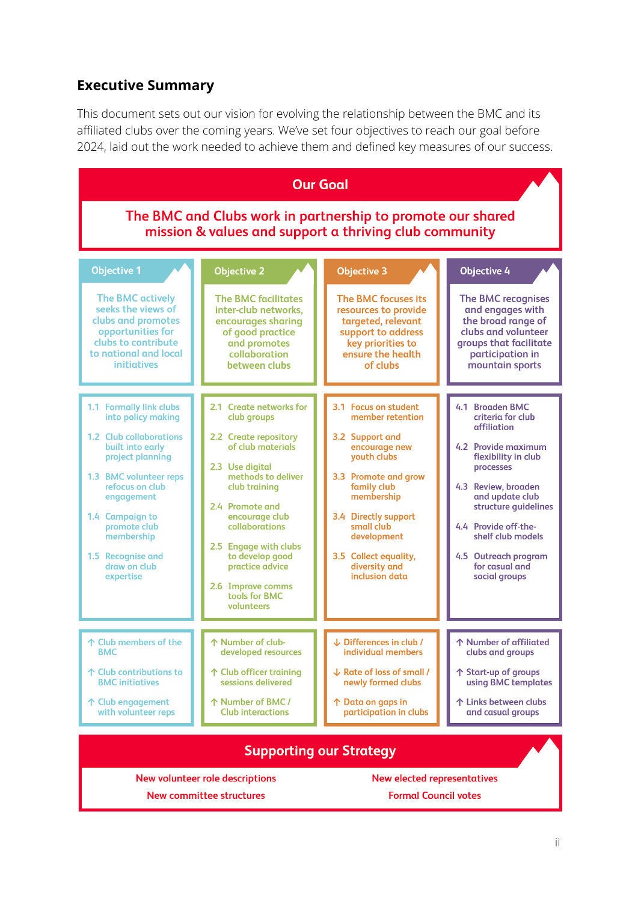## **Executive Summary**

This document sets out our vision for evolving the relationship between the BMC and its affiliated clubs over the coming years. We've set four objectives to reach our goal before 2024, laid out the work needed to achieve them and defined key measures of our success.

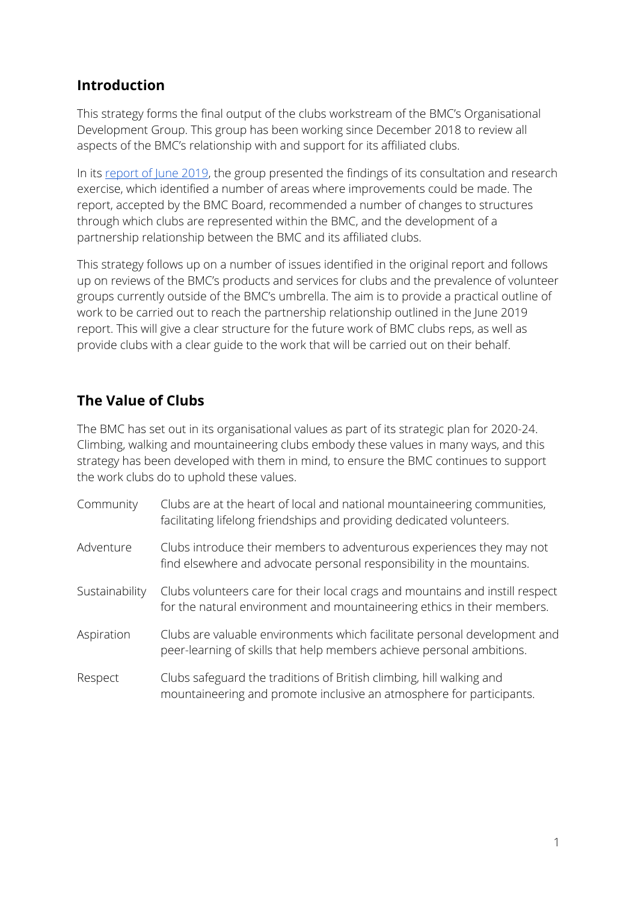## **Introduction**

This strategy forms the final output of the clubs workstream of the BMC's Organisational Development Group. This group has been working since December 2018 to review all aspects of the BMC's relationship with and support for its affiliated clubs.

In its [report](https://odg.thebmc.co.uk/hc/en-gb/articles/360034696953-Partnerships-Interim-Report-June-2019) of June 2019, the group presented the findings of its consultation and research exercise, which identified a number of areas where improvements could be made. The report, accepted by the BMC Board, recommended a number of changes to structures through which clubs are represented within the BMC, and the development of a partnership relationship between the BMC and its affiliated clubs.

This strategy follows up on a number of issues identified in the original report and follows up on reviews of the BMC's products and services for clubs and the prevalence of volunteer groups currently outside of the BMC's umbrella. The aim is to provide a practical outline of work to be carried out to reach the partnership relationship outlined in the June 2019 report. This will give a clear structure for the future work of BMC clubs reps, as well as provide clubs with a clear guide to the work that will be carried out on their behalf.

# **The Value of Clubs**

The BMC has set out in its organisational values as part of its strategic plan for 2020-24. Climbing, walking and mountaineering clubs embody these values in many ways, and this strategy has been developed with them in mind, to ensure the BMC continues to support the work clubs do to uphold these values.

| Community      | Clubs are at the heart of local and national mountaineering communities,<br>facilitating lifelong friendships and providing dedicated volunteers.        |
|----------------|----------------------------------------------------------------------------------------------------------------------------------------------------------|
| Adventure      | Clubs introduce their members to adventurous experiences they may not<br>find elsewhere and advocate personal responsibility in the mountains.           |
| Sustainability | Clubs volunteers care for their local crags and mountains and instill respect<br>for the natural environment and mountaineering ethics in their members. |
| Aspiration     | Clubs are valuable environments which facilitate personal development and<br>peer-learning of skills that help members achieve personal ambitions.       |
| Respect        | Clubs safeguard the traditions of British climbing, hill walking and<br>mountaineering and promote inclusive an atmosphere for participants.             |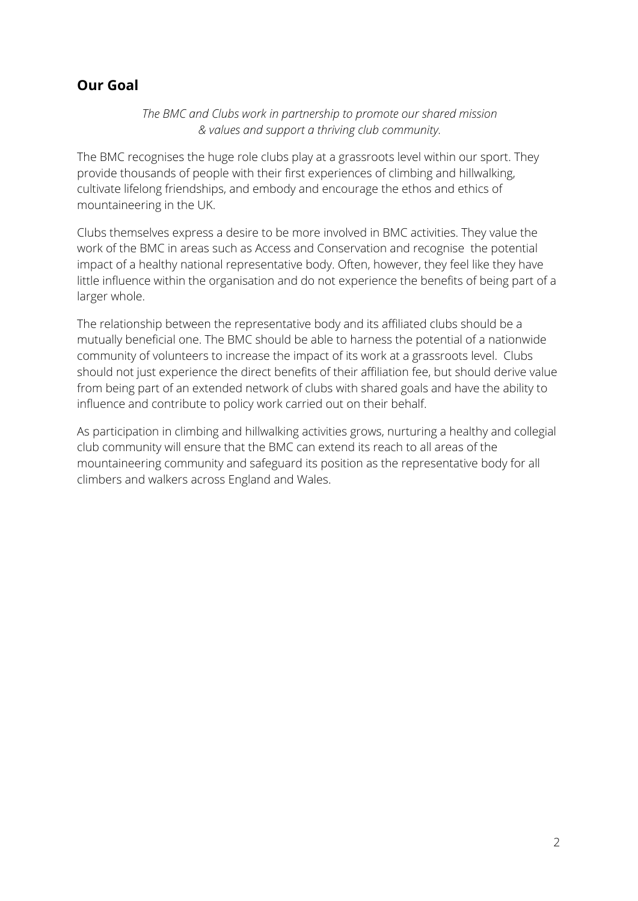## **Our Goal**

*The BMC and Clubs work in partnership to promote our shared mission & values and support a thriving club community.*

The BMC recognises the huge role clubs play at a grassroots level within our sport. They provide thousands of people with their first experiences of climbing and hillwalking, cultivate lifelong friendships, and embody and encourage the ethos and ethics of mountaineering in the UK.

Clubs themselves express a desire to be more involved in BMC activities. They value the work of the BMC in areas such as Access and Conservation and recognise the potential impact of a healthy national representative body. Often, however, they feel like they have little influence within the organisation and do not experience the benefits of being part of a larger whole.

The relationship between the representative body and its affiliated clubs should be a mutually beneficial one. The BMC should be able to harness the potential of a nationwide community of volunteers to increase the impact of its work at a grassroots level. Clubs should not just experience the direct benefits of their affiliation fee, but should derive value from being part of an extended network of clubs with shared goals and have the ability to influence and contribute to policy work carried out on their behalf.

As participation in climbing and hillwalking activities grows, nurturing a healthy and collegial club community will ensure that the BMC can extend its reach to all areas of the mountaineering community and safeguard its position as the representative body for all climbers and walkers across England and Wales.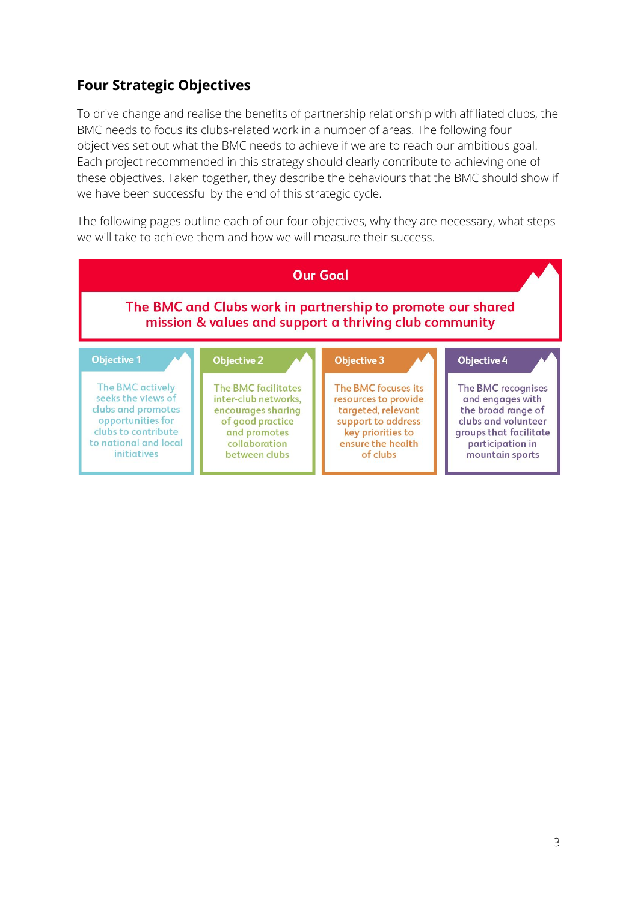# **Four Strategic Objectives**

To drive change and realise the benefits of partnership relationship with affiliated clubs, the BMC needs to focus its clubs-related work in a number of areas. The following four objectives set out what the BMC needs to achieve if we are to reach our ambitious goal. Each project recommended in this strategy should clearly contribute to achieving one of these objectives. Taken together, they describe the behaviours that the BMC should show if we have been successful by the end of this strategic cycle.

The following pages outline each of our four objectives, why they are necessary, what steps we will take to achieve them and how we will measure their success.

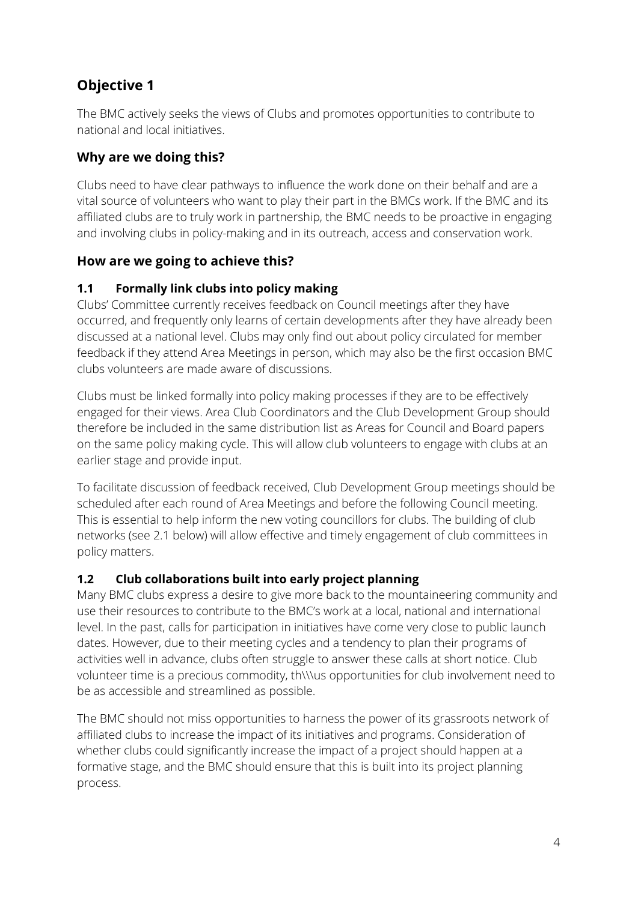# **Objective 1**

The BMC actively seeks the views of Clubs and promotes opportunities to contribute to national and local initiatives.

## **Why are we doing this?**

Clubs need to have clear pathways to influence the work done on their behalf and are a vital source of volunteers who want to play their part in the BMCs work. If the BMC and its affiliated clubs are to truly work in partnership, the BMC needs to be proactive in engaging and involving clubs in policy-making and in its outreach, access and conservation work.

## **How are we going to achieve this?**

## **1.1 Formally link clubs into policy making**

Clubs' Committee currently receives feedback on Council meetings after they have occurred, and frequently only learns of certain developments after they have already been discussed at a national level. Clubs may only find out about policy circulated for member feedback if they attend Area Meetings in person, which may also be the first occasion BMC clubs volunteers are made aware of discussions.

Clubs must be linked formally into policy making processes if they are to be effectively engaged for their views. Area Club Coordinators and the Club Development Group should therefore be included in the same distribution list as Areas for Council and Board papers on the same policy making cycle. This will allow club volunteers to engage with clubs at an earlier stage and provide input.

To facilitate discussion of feedback received, Club Development Group meetings should be scheduled after each round of Area Meetings and before the following Council meeting. This is essential to help inform the new voting councillors for clubs. The building of club networks (see 2.1 below) will allow effective and timely engagement of club committees in policy matters.

## **1.2 Club collaborations built into early project planning**

Many BMC clubs express a desire to give more back to the mountaineering community and use their resources to contribute to the BMC's work at a local, national and international level. In the past, calls for participation in initiatives have come very close to public launch dates. However, due to their meeting cycles and a tendency to plan their programs of activities well in advance, clubs often struggle to answer these calls at short notice. Club volunteer time is a precious commodity, th\\\us opportunities for club involvement need to be as accessible and streamlined as possible.

The BMC should not miss opportunities to harness the power of its grassroots network of affiliated clubs to increase the impact of its initiatives and programs. Consideration of whether clubs could significantly increase the impact of a project should happen at a formative stage, and the BMC should ensure that this is built into its project planning process.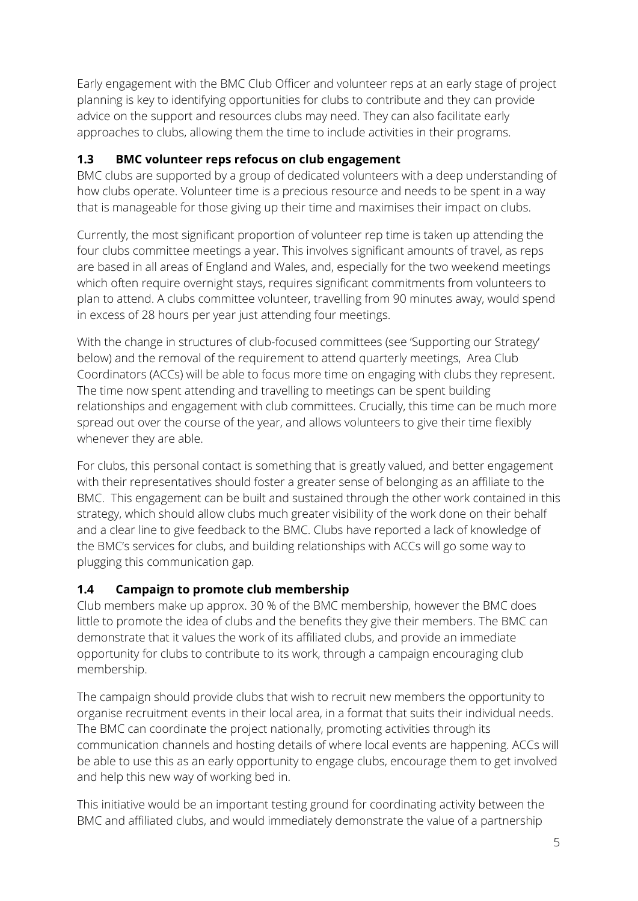Early engagement with the BMC Club Officer and volunteer reps at an early stage of project planning is key to identifying opportunities for clubs to contribute and they can provide advice on the support and resources clubs may need. They can also facilitate early approaches to clubs, allowing them the time to include activities in their programs.

#### **1.3 BMC volunteer reps refocus on club engagement**

BMC clubs are supported by a group of dedicated volunteers with a deep understanding of how clubs operate. Volunteer time is a precious resource and needs to be spent in a way that is manageable for those giving up their time and maximises their impact on clubs.

Currently, the most significant proportion of volunteer rep time is taken up attending the four clubs committee meetings a year. This involves significant amounts of travel, as reps are based in all areas of England and Wales, and, especially for the two weekend meetings which often require overnight stays, requires significant commitments from volunteers to plan to attend. A clubs committee volunteer, travelling from 90 minutes away, would spend in excess of 28 hours per year just attending four meetings.

With the change in structures of club-focused committees (see 'Supporting our Strategy' below) and the removal of the requirement to attend quarterly meetings, Area Club Coordinators (ACCs) will be able to focus more time on engaging with clubs they represent. The time now spent attending and travelling to meetings can be spent building relationships and engagement with club committees. Crucially, this time can be much more spread out over the course of the year, and allows volunteers to give their time flexibly whenever they are able.

For clubs, this personal contact is something that is greatly valued, and better engagement with their representatives should foster a greater sense of belonging as an affiliate to the BMC. This engagement can be built and sustained through the other work contained in this strategy, which should allow clubs much greater visibility of the work done on their behalf and a clear line to give feedback to the BMC. Clubs have reported a lack of knowledge of the BMC's services for clubs, and building relationships with ACCs will go some way to plugging this communication gap.

## **1.4 Campaign to promote club membership**

Club members make up approx. 30 % of the BMC membership, however the BMC does little to promote the idea of clubs and the benefits they give their members. The BMC can demonstrate that it values the work of its affiliated clubs, and provide an immediate opportunity for clubs to contribute to its work, through a campaign encouraging club membership.

The campaign should provide clubs that wish to recruit new members the opportunity to organise recruitment events in their local area, in a format that suits their individual needs. The BMC can coordinate the project nationally, promoting activities through its communication channels and hosting details of where local events are happening. ACCs will be able to use this as an early opportunity to engage clubs, encourage them to get involved and help this new way of working bed in.

This initiative would be an important testing ground for coordinating activity between the BMC and affiliated clubs, and would immediately demonstrate the value of a partnership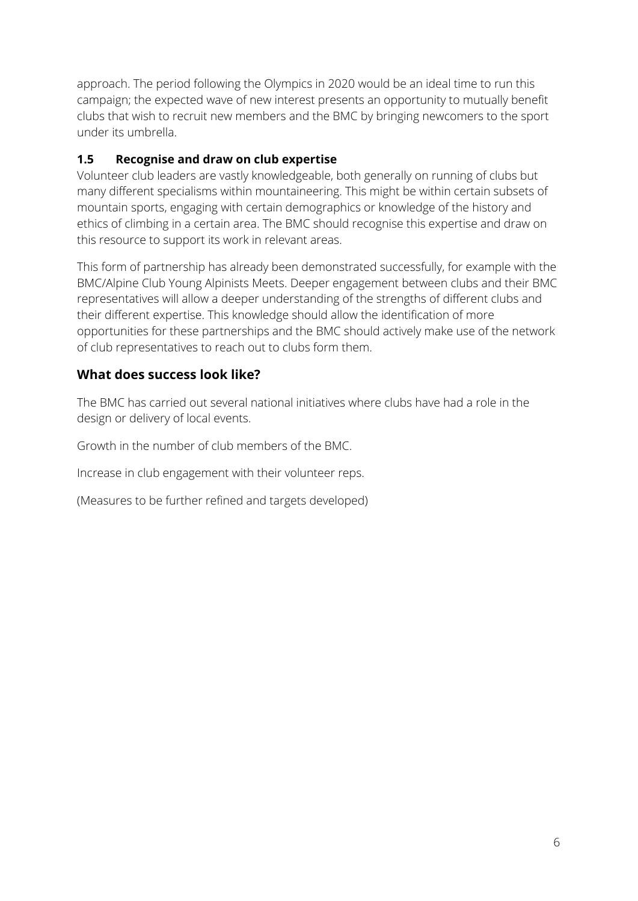approach. The period following the Olympics in 2020 would be an ideal time to run this campaign; the expected wave of new interest presents an opportunity to mutually benefit clubs that wish to recruit new members and the BMC by bringing newcomers to the sport under its umbrella.

#### **1.5 Recognise and draw on club expertise**

Volunteer club leaders are vastly knowledgeable, both generally on running of clubs but many different specialisms within mountaineering. This might be within certain subsets of mountain sports, engaging with certain demographics or knowledge of the history and ethics of climbing in a certain area. The BMC should recognise this expertise and draw on this resource to support its work in relevant areas.

This form of partnership has already been demonstrated successfully, for example with the BMC/Alpine Club Young Alpinists Meets. Deeper engagement between clubs and their BMC representatives will allow a deeper understanding of the strengths of different clubs and their different expertise. This knowledge should allow the identification of more opportunities for these partnerships and the BMC should actively make use of the network of club representatives to reach out to clubs form them.

## **What does success look like?**

The BMC has carried out several national initiatives where clubs have had a role in the design or delivery of local events.

Growth in the number of club members of the BMC.

Increase in club engagement with their volunteer reps.

(Measures to be further refined and targets developed)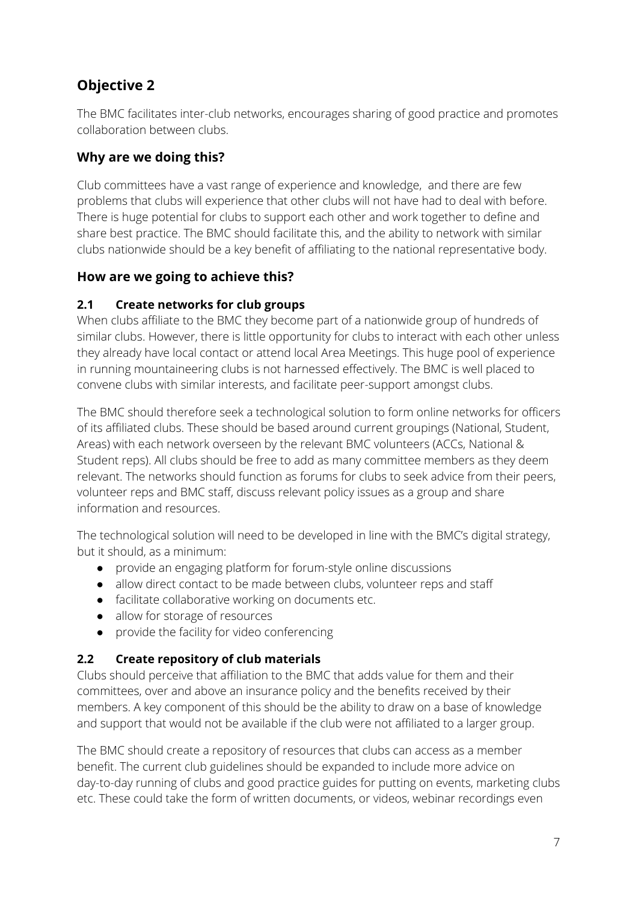# **Objective 2**

The BMC facilitates inter-club networks, encourages sharing of good practice and promotes collaboration between clubs.

#### **Why are we doing this?**

Club committees have a vast range of experience and knowledge, and there are few problems that clubs will experience that other clubs will not have had to deal with before. There is huge potential for clubs to support each other and work together to define and share best practice. The BMC should facilitate this, and the ability to network with similar clubs nationwide should be a key benefit of affiliating to the national representative body.

## **How are we going to achieve this?**

#### **2.1 Create networks for club groups**

When clubs affiliate to the BMC they become part of a nationwide group of hundreds of similar clubs. However, there is little opportunity for clubs to interact with each other unless they already have local contact or attend local Area Meetings. This huge pool of experience in running mountaineering clubs is not harnessed effectively. The BMC is well placed to convene clubs with similar interests, and facilitate peer-support amongst clubs.

The BMC should therefore seek a technological solution to form online networks for officers of its affiliated clubs. These should be based around current groupings (National, Student, Areas) with each network overseen by the relevant BMC volunteers (ACCs, National & Student reps). All clubs should be free to add as many committee members as they deem relevant. The networks should function as forums for clubs to seek advice from their peers, volunteer reps and BMC staff, discuss relevant policy issues as a group and share information and resources.

The technological solution will need to be developed in line with the BMC's digital strategy, but it should, as a minimum:

- provide an engaging platform for forum-style online discussions
- allow direct contact to be made between clubs, volunteer reps and staff
- facilitate collaborative working on documents etc.
- allow for storage of resources
- provide the facility for video conferencing

## **2.2 Create repository of club materials**

Clubs should perceive that affiliation to the BMC that adds value for them and their committees, over and above an insurance policy and the benefits received by their members. A key component of this should be the ability to draw on a base of knowledge and support that would not be available if the club were not affiliated to a larger group.

The BMC should create a repository of resources that clubs can access as a member benefit. The current club guidelines should be expanded to include more advice on day-to-day running of clubs and good practice guides for putting on events, marketing clubs etc. These could take the form of written documents, or videos, webinar recordings even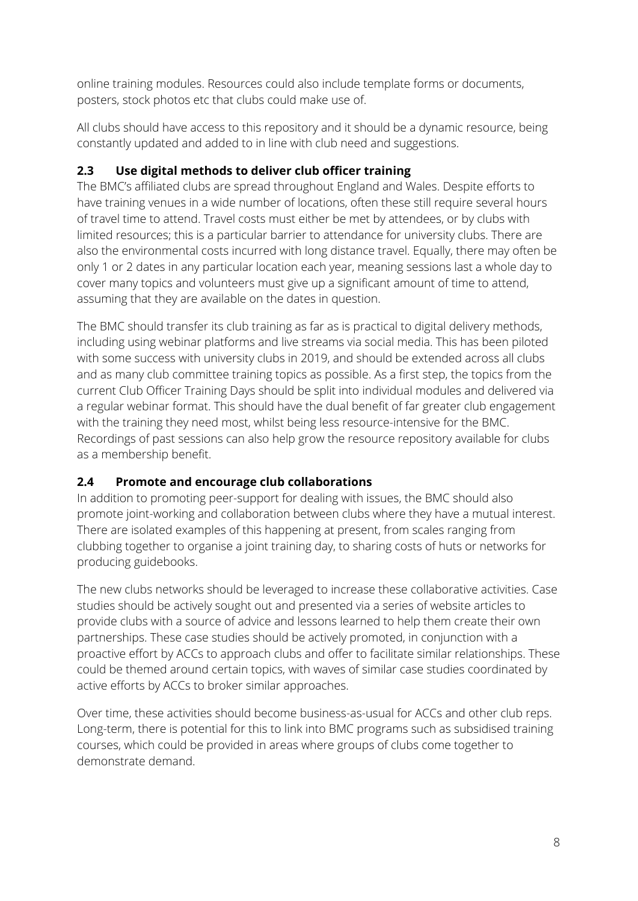online training modules. Resources could also include template forms or documents, posters, stock photos etc that clubs could make use of.

All clubs should have access to this repository and it should be a dynamic resource, being constantly updated and added to in line with club need and suggestions.

#### **2.3 Use digital methods to deliver club officer training**

The BMC's affiliated clubs are spread throughout England and Wales. Despite efforts to have training venues in a wide number of locations, often these still require several hours of travel time to attend. Travel costs must either be met by attendees, or by clubs with limited resources; this is a particular barrier to attendance for university clubs. There are also the environmental costs incurred with long distance travel. Equally, there may often be only 1 or 2 dates in any particular location each year, meaning sessions last a whole day to cover many topics and volunteers must give up a significant amount of time to attend, assuming that they are available on the dates in question.

The BMC should transfer its club training as far as is practical to digital delivery methods, including using webinar platforms and live streams via social media. This has been piloted with some success with university clubs in 2019, and should be extended across all clubs and as many club committee training topics as possible. As a first step, the topics from the current Club Officer Training Days should be split into individual modules and delivered via a regular webinar format. This should have the dual benefit of far greater club engagement with the training they need most, whilst being less resource-intensive for the BMC. Recordings of past sessions can also help grow the resource repository available for clubs as a membership benefit.

## **2.4 Promote and encourage club collaborations**

In addition to promoting peer-support for dealing with issues, the BMC should also promote joint-working and collaboration between clubs where they have a mutual interest. There are isolated examples of this happening at present, from scales ranging from clubbing together to organise a joint training day, to sharing costs of huts or networks for producing guidebooks.

The new clubs networks should be leveraged to increase these collaborative activities. Case studies should be actively sought out and presented via a series of website articles to provide clubs with a source of advice and lessons learned to help them create their own partnerships. These case studies should be actively promoted, in conjunction with a proactive effort by ACCs to approach clubs and offer to facilitate similar relationships. These could be themed around certain topics, with waves of similar case studies coordinated by active efforts by ACCs to broker similar approaches.

Over time, these activities should become business-as-usual for ACCs and other club reps. Long-term, there is potential for this to link into BMC programs such as subsidised training courses, which could be provided in areas where groups of clubs come together to demonstrate demand.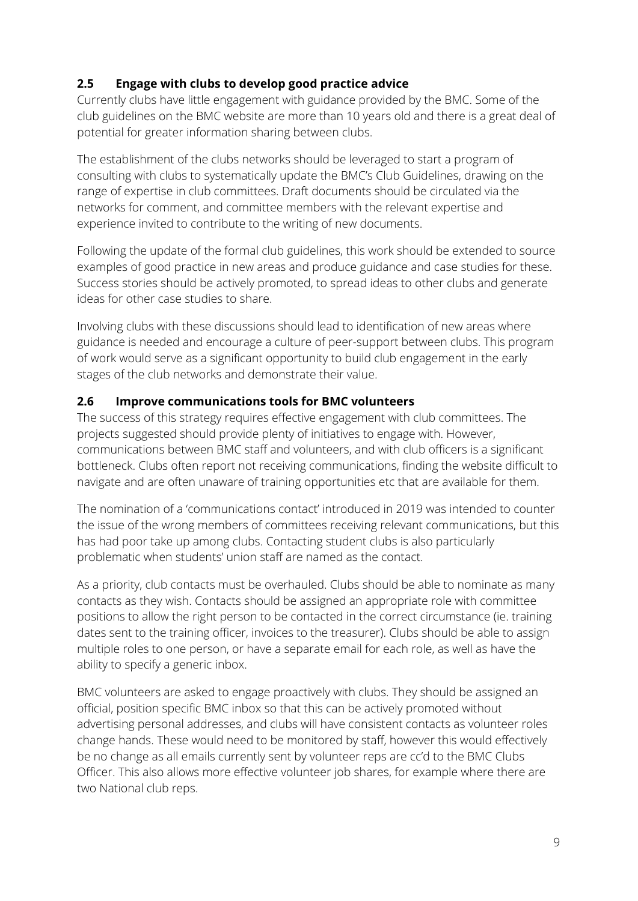#### **2.5 Engage with clubs to develop good practice advice**

Currently clubs have little engagement with guidance provided by the BMC. Some of the club guidelines on the BMC website are more than 10 years old and there is a great deal of potential for greater information sharing between clubs.

The establishment of the clubs networks should be leveraged to start a program of consulting with clubs to systematically update the BMC's Club Guidelines, drawing on the range of expertise in club committees. Draft documents should be circulated via the networks for comment, and committee members with the relevant expertise and experience invited to contribute to the writing of new documents.

Following the update of the formal club guidelines, this work should be extended to source examples of good practice in new areas and produce guidance and case studies for these. Success stories should be actively promoted, to spread ideas to other clubs and generate ideas for other case studies to share.

Involving clubs with these discussions should lead to identification of new areas where guidance is needed and encourage a culture of peer-support between clubs. This program of work would serve as a significant opportunity to build club engagement in the early stages of the club networks and demonstrate their value.

#### **2.6 Improve communications tools for BMC volunteers**

The success of this strategy requires effective engagement with club committees. The projects suggested should provide plenty of initiatives to engage with. However, communications between BMC staff and volunteers, and with club officers is a significant bottleneck. Clubs often report not receiving communications, finding the website difficult to navigate and are often unaware of training opportunities etc that are available for them.

The nomination of a 'communications contact' introduced in 2019 was intended to counter the issue of the wrong members of committees receiving relevant communications, but this has had poor take up among clubs. Contacting student clubs is also particularly problematic when students' union staff are named as the contact.

As a priority, club contacts must be overhauled. Clubs should be able to nominate as many contacts as they wish. Contacts should be assigned an appropriate role with committee positions to allow the right person to be contacted in the correct circumstance (ie. training dates sent to the training officer, invoices to the treasurer). Clubs should be able to assign multiple roles to one person, or have a separate email for each role, as well as have the ability to specify a generic inbox.

BMC volunteers are asked to engage proactively with clubs. They should be assigned an official, position specific BMC inbox so that this can be actively promoted without advertising personal addresses, and clubs will have consistent contacts as volunteer roles change hands. These would need to be monitored by staff, however this would effectively be no change as all emails currently sent by volunteer reps are cc'd to the BMC Clubs Officer. This also allows more effective volunteer job shares, for example where there are two National club reps.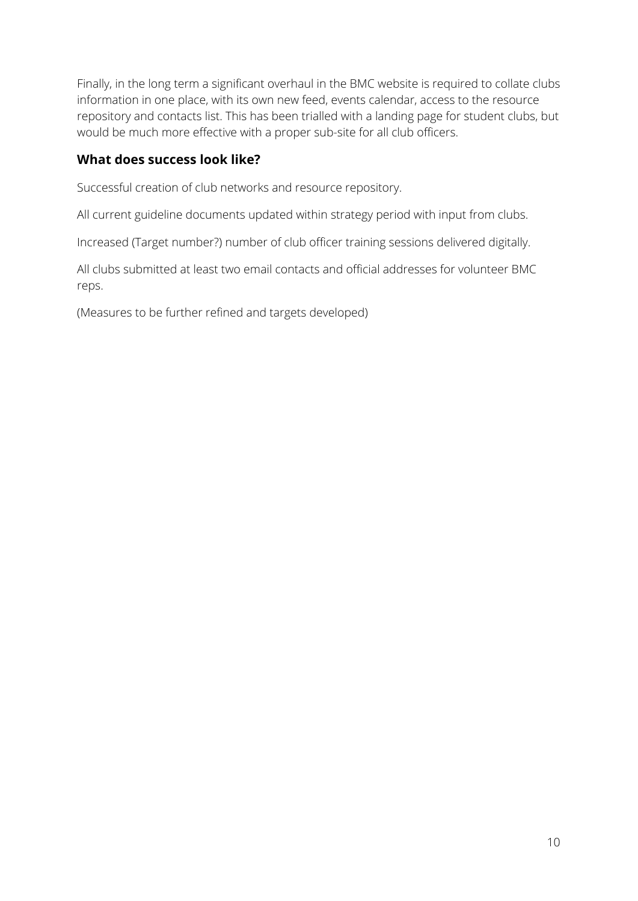Finally, in the long term a significant overhaul in the BMC website is required to collate clubs information in one place, with its own new feed, events calendar, access to the resource repository and contacts list. This has been trialled with a landing page for student clubs, but would be much more effective with a proper sub-site for all club officers.

#### **What does success look like?**

Successful creation of club networks and resource repository.

All current guideline documents updated within strategy period with input from clubs.

Increased (Target number?) number of club officer training sessions delivered digitally.

All clubs submitted at least two email contacts and official addresses for volunteer BMC reps.

(Measures to be further refined and targets developed)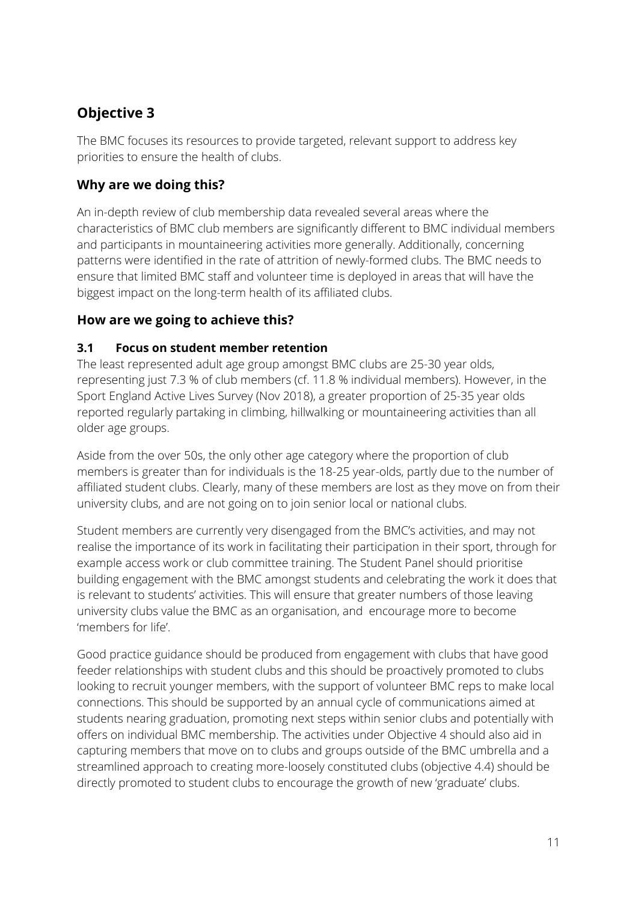# **Objective 3**

The BMC focuses its resources to provide targeted, relevant support to address key priorities to ensure the health of clubs.

#### **Why are we doing this?**

An in-depth review of club membership data revealed several areas where the characteristics of BMC club members are significantly different to BMC individual members and participants in mountaineering activities more generally. Additionally, concerning patterns were identified in the rate of attrition of newly-formed clubs. The BMC needs to ensure that limited BMC staff and volunteer time is deployed in areas that will have the biggest impact on the long-term health of its affiliated clubs.

#### **How are we going to achieve this?**

#### **3.1 Focus on student member retention**

The least represented adult age group amongst BMC clubs are 25-30 year olds, representing just 7.3 % of club members (cf. 11.8 % individual members). However, in the Sport England Active Lives Survey (Nov 2018), a greater proportion of 25-35 year olds reported regularly partaking in climbing, hillwalking or mountaineering activities than all older age groups.

Aside from the over 50s, the only other age category where the proportion of club members is greater than for individuals is the 18-25 year-olds, partly due to the number of affiliated student clubs. Clearly, many of these members are lost as they move on from their university clubs, and are not going on to join senior local or national clubs.

Student members are currently very disengaged from the BMC's activities, and may not realise the importance of its work in facilitating their participation in their sport, through for example access work or club committee training. The Student Panel should prioritise building engagement with the BMC amongst students and celebrating the work it does that is relevant to students' activities. This will ensure that greater numbers of those leaving university clubs value the BMC as an organisation, and encourage more to become 'members for life'.

Good practice guidance should be produced from engagement with clubs that have good feeder relationships with student clubs and this should be proactively promoted to clubs looking to recruit younger members, with the support of volunteer BMC reps to make local connections. This should be supported by an annual cycle of communications aimed at students nearing graduation, promoting next steps within senior clubs and potentially with offers on individual BMC membership. The activities under Objective 4 should also aid in capturing members that move on to clubs and groups outside of the BMC umbrella and a streamlined approach to creating more-loosely constituted clubs (objective 4.4) should be directly promoted to student clubs to encourage the growth of new 'graduate' clubs.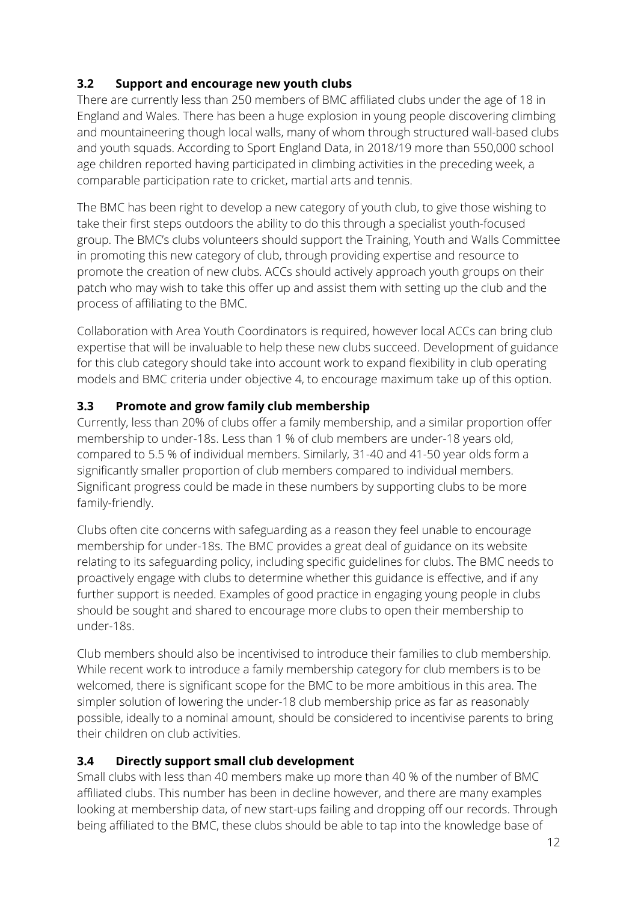#### **3.2 Support and encourage new youth clubs**

There are currently less than 250 members of BMC affiliated clubs under the age of 18 in England and Wales. There has been a huge explosion in young people discovering climbing and mountaineering though local walls, many of whom through structured wall-based clubs and youth squads. According to Sport England Data, in 2018/19 more than 550,000 school age children reported having participated in climbing activities in the preceding week, a comparable participation rate to cricket, martial arts and tennis.

The BMC has been right to develop a new category of youth club, to give those wishing to take their first steps outdoors the ability to do this through a specialist youth-focused group. The BMC's clubs volunteers should support the Training, Youth and Walls Committee in promoting this new category of club, through providing expertise and resource to promote the creation of new clubs. ACCs should actively approach youth groups on their patch who may wish to take this offer up and assist them with setting up the club and the process of affiliating to the BMC.

Collaboration with Area Youth Coordinators is required, however local ACCs can bring club expertise that will be invaluable to help these new clubs succeed. Development of guidance for this club category should take into account work to expand flexibility in club operating models and BMC criteria under objective 4, to encourage maximum take up of this option.

#### **3.3 Promote and grow family club membership**

Currently, less than 20% of clubs offer a family membership, and a similar proportion offer membership to under-18s. Less than 1 % of club members are under-18 years old, compared to 5.5 % of individual members. Similarly, 31-40 and 41-50 year olds form a significantly smaller proportion of club members compared to individual members. Significant progress could be made in these numbers by supporting clubs to be more family-friendly.

Clubs often cite concerns with safeguarding as a reason they feel unable to encourage membership for under-18s. The BMC provides a great deal of guidance on its website relating to its safeguarding policy, including specific guidelines for clubs. The BMC needs to proactively engage with clubs to determine whether this guidance is effective, and if any further support is needed. Examples of good practice in engaging young people in clubs should be sought and shared to encourage more clubs to open their membership to under-18s.

Club members should also be incentivised to introduce their families to club membership. While recent work to introduce a family membership category for club members is to be welcomed, there is significant scope for the BMC to be more ambitious in this area. The simpler solution of lowering the under-18 club membership price as far as reasonably possible, ideally to a nominal amount, should be considered to incentivise parents to bring their children on club activities.

## **3.4 Directly support small club development**

Small clubs with less than 40 members make up more than 40 % of the number of BMC affiliated clubs. This number has been in decline however, and there are many examples looking at membership data, of new start-ups failing and dropping off our records. Through being affiliated to the BMC, these clubs should be able to tap into the knowledge base of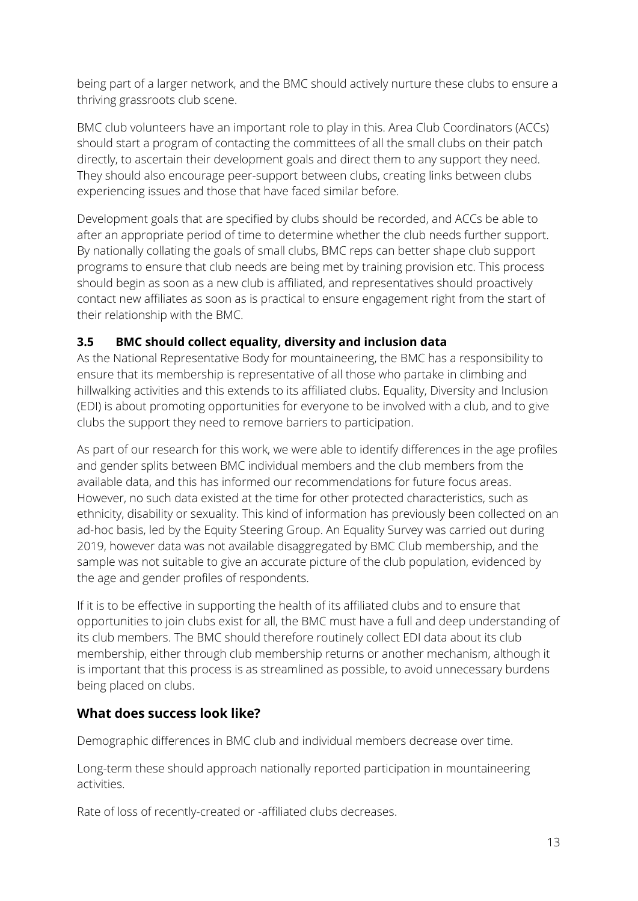being part of a larger network, and the BMC should actively nurture these clubs to ensure a thriving grassroots club scene.

BMC club volunteers have an important role to play in this. Area Club Coordinators (ACCs) should start a program of contacting the committees of all the small clubs on their patch directly, to ascertain their development goals and direct them to any support they need. They should also encourage peer-support between clubs, creating links between clubs experiencing issues and those that have faced similar before.

Development goals that are specified by clubs should be recorded, and ACCs be able to after an appropriate period of time to determine whether the club needs further support. By nationally collating the goals of small clubs, BMC reps can better shape club support programs to ensure that club needs are being met by training provision etc. This process should begin as soon as a new club is affiliated, and representatives should proactively contact new affiliates as soon as is practical to ensure engagement right from the start of their relationship with the BMC.

#### **3.5 BMC should collect equality, diversity and inclusion data**

As the National Representative Body for mountaineering, the BMC has a responsibility to ensure that its membership is representative of all those who partake in climbing and hillwalking activities and this extends to its affiliated clubs. Equality, Diversity and Inclusion (EDI) is about promoting opportunities for everyone to be involved with a club, and to give clubs the support they need to remove barriers to participation.

As part of our research for this work, we were able to identify differences in the age profiles and gender splits between BMC individual members and the club members from the available data, and this has informed our recommendations for future focus areas. However, no such data existed at the time for other protected characteristics, such as ethnicity, disability or sexuality. This kind of information has previously been collected on an ad-hoc basis, led by the Equity Steering Group. An Equality Survey was carried out during 2019, however data was not available disaggregated by BMC Club membership, and the sample was not suitable to give an accurate picture of the club population, evidenced by the age and gender profiles of respondents.

If it is to be effective in supporting the health of its affiliated clubs and to ensure that opportunities to join clubs exist for all, the BMC must have a full and deep understanding of its club members. The BMC should therefore routinely collect EDI data about its club membership, either through club membership returns or another mechanism, although it is important that this process is as streamlined as possible, to avoid unnecessary burdens being placed on clubs.

## **What does success look like?**

Demographic differences in BMC club and individual members decrease over time.

Long-term these should approach nationally reported participation in mountaineering activities.

Rate of loss of recently-created or -affiliated clubs decreases.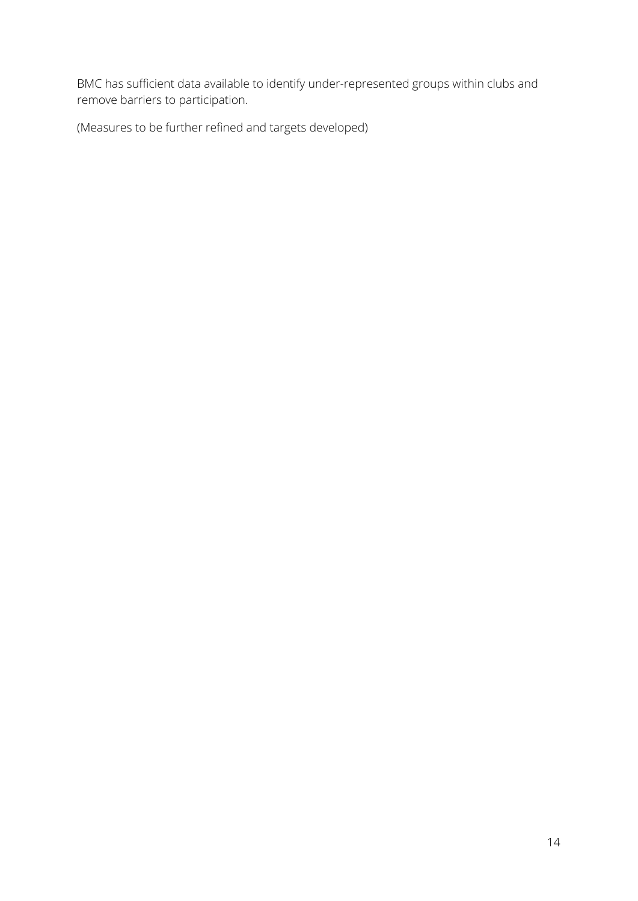BMC has sufficient data available to identify under-represented groups within clubs and remove barriers to participation.

(Measures to be further refined and targets developed)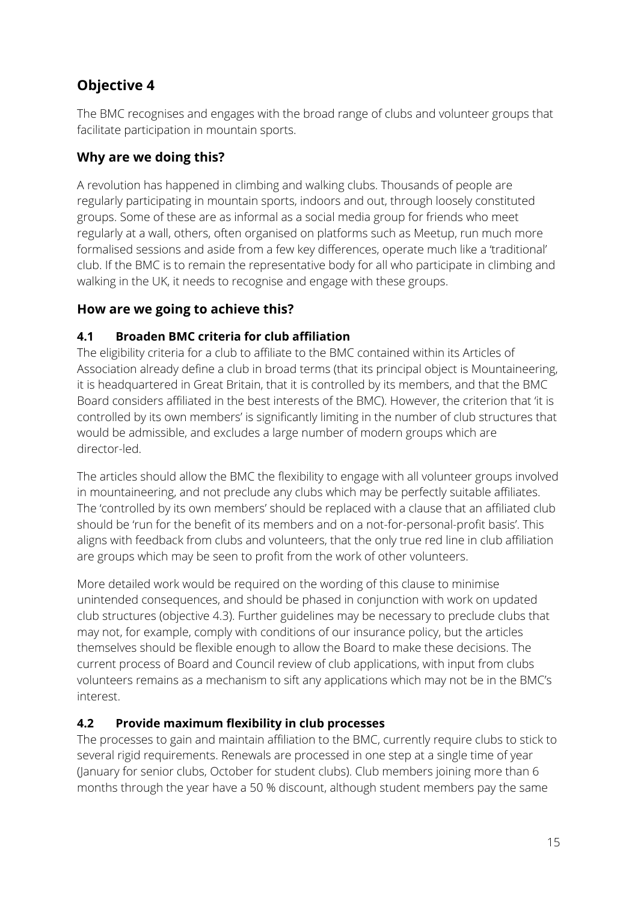# **Objective 4**

The BMC recognises and engages with the broad range of clubs and volunteer groups that facilitate participation in mountain sports.

#### **Why are we doing this?**

A revolution has happened in climbing and walking clubs. Thousands of people are regularly participating in mountain sports, indoors and out, through loosely constituted groups. Some of these are as informal as a social media group for friends who meet regularly at a wall, others, often organised on platforms such as Meetup, run much more formalised sessions and aside from a few key differences, operate much like a 'traditional' club. If the BMC is to remain the representative body for all who participate in climbing and walking in the UK, it needs to recognise and engage with these groups.

#### **How are we going to achieve this?**

#### **4.1 Broaden BMC criteria for club affiliation**

The eligibility criteria for a club to affiliate to the BMC contained within its Articles of Association already define a club in broad terms (that its principal object is Mountaineering, it is headquartered in Great Britain, that it is controlled by its members, and that the BMC Board considers affiliated in the best interests of the BMC). However, the criterion that 'it is controlled by its own members' is significantly limiting in the number of club structures that would be admissible, and excludes a large number of modern groups which are director-led.

The articles should allow the BMC the flexibility to engage with all volunteer groups involved in mountaineering, and not preclude any clubs which may be perfectly suitable affiliates. The 'controlled by its own members' should be replaced with a clause that an affiliated club should be 'run for the benefit of its members and on a not-for-personal-profit basis'. This aligns with feedback from clubs and volunteers, that the only true red line in club affiliation are groups which may be seen to profit from the work of other volunteers.

More detailed work would be required on the wording of this clause to minimise unintended consequences, and should be phased in conjunction with work on updated club structures (objective 4.3). Further guidelines may be necessary to preclude clubs that may not, for example, comply with conditions of our insurance policy, but the articles themselves should be flexible enough to allow the Board to make these decisions. The current process of Board and Council review of club applications, with input from clubs volunteers remains as a mechanism to sift any applications which may not be in the BMC's interest.

## **4.2 Provide maximum flexibility in club processes**

The processes to gain and maintain affiliation to the BMC, currently require clubs to stick to several rigid requirements. Renewals are processed in one step at a single time of year (January for senior clubs, October for student clubs). Club members joining more than 6 months through the year have a 50 % discount, although student members pay the same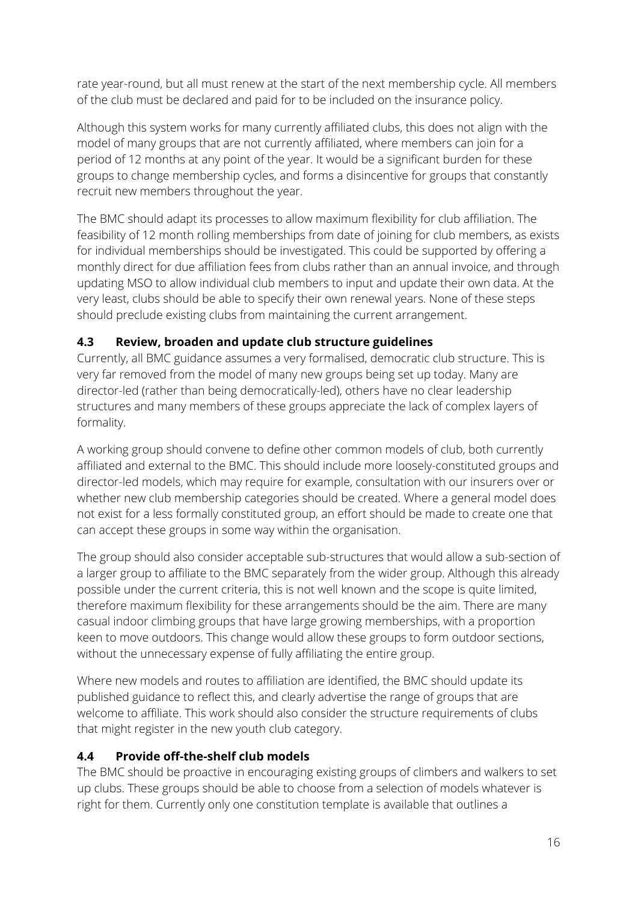rate year-round, but all must renew at the start of the next membership cycle. All members of the club must be declared and paid for to be included on the insurance policy.

Although this system works for many currently affiliated clubs, this does not align with the model of many groups that are not currently affiliated, where members can join for a period of 12 months at any point of the year. It would be a significant burden for these groups to change membership cycles, and forms a disincentive for groups that constantly recruit new members throughout the year.

The BMC should adapt its processes to allow maximum flexibility for club affiliation. The feasibility of 12 month rolling memberships from date of joining for club members, as exists for individual memberships should be investigated. This could be supported by offering a monthly direct for due affiliation fees from clubs rather than an annual invoice, and through updating MSO to allow individual club members to input and update their own data. At the very least, clubs should be able to specify their own renewal years. None of these steps should preclude existing clubs from maintaining the current arrangement.

#### **4.3 Review, broaden and update club structure guidelines**

Currently, all BMC guidance assumes a very formalised, democratic club structure. This is very far removed from the model of many new groups being set up today. Many are director-led (rather than being democratically-led), others have no clear leadership structures and many members of these groups appreciate the lack of complex layers of formality.

A working group should convene to define other common models of club, both currently affiliated and external to the BMC. This should include more loosely-constituted groups and director-led models, which may require for example, consultation with our insurers over or whether new club membership categories should be created. Where a general model does not exist for a less formally constituted group, an effort should be made to create one that can accept these groups in some way within the organisation.

The group should also consider acceptable sub-structures that would allow a sub-section of a larger group to affiliate to the BMC separately from the wider group. Although this already possible under the current criteria, this is not well known and the scope is quite limited, therefore maximum flexibility for these arrangements should be the aim. There are many casual indoor climbing groups that have large growing memberships, with a proportion keen to move outdoors. This change would allow these groups to form outdoor sections, without the unnecessary expense of fully affiliating the entire group.

Where new models and routes to affiliation are identified, the BMC should update its published guidance to reflect this, and clearly advertise the range of groups that are welcome to affiliate. This work should also consider the structure requirements of clubs that might register in the new youth club category.

#### **4.4 Provide off-the-shelf club models**

The BMC should be proactive in encouraging existing groups of climbers and walkers to set up clubs. These groups should be able to choose from a selection of models whatever is right for them. Currently only one constitution template is available that outlines a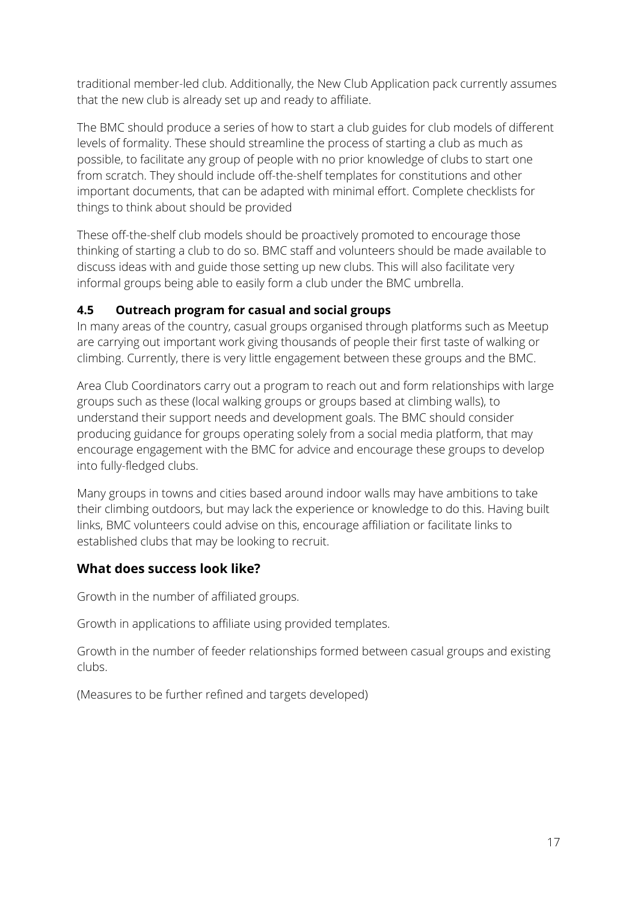traditional member-led club. Additionally, the New Club Application pack currently assumes that the new club is already set up and ready to affiliate.

The BMC should produce a series of how to start a club guides for club models of different levels of formality. These should streamline the process of starting a club as much as possible, to facilitate any group of people with no prior knowledge of clubs to start one from scratch. They should include off-the-shelf templates for constitutions and other important documents, that can be adapted with minimal effort. Complete checklists for things to think about should be provided

These off-the-shelf club models should be proactively promoted to encourage those thinking of starting a club to do so. BMC staff and volunteers should be made available to discuss ideas with and guide those setting up new clubs. This will also facilitate very informal groups being able to easily form a club under the BMC umbrella.

#### **4.5 Outreach program for casual and social groups**

In many areas of the country, casual groups organised through platforms such as Meetup are carrying out important work giving thousands of people their first taste of walking or climbing. Currently, there is very little engagement between these groups and the BMC.

Area Club Coordinators carry out a program to reach out and form relationships with large groups such as these (local walking groups or groups based at climbing walls), to understand their support needs and development goals. The BMC should consider producing guidance for groups operating solely from a social media platform, that may encourage engagement with the BMC for advice and encourage these groups to develop into fully-fledged clubs.

Many groups in towns and cities based around indoor walls may have ambitions to take their climbing outdoors, but may lack the experience or knowledge to do this. Having built links, BMC volunteers could advise on this, encourage affiliation or facilitate links to established clubs that may be looking to recruit.

#### **What does success look like?**

Growth in the number of affiliated groups.

Growth in applications to affiliate using provided templates.

Growth in the number of feeder relationships formed between casual groups and existing clubs.

(Measures to be further refined and targets developed)